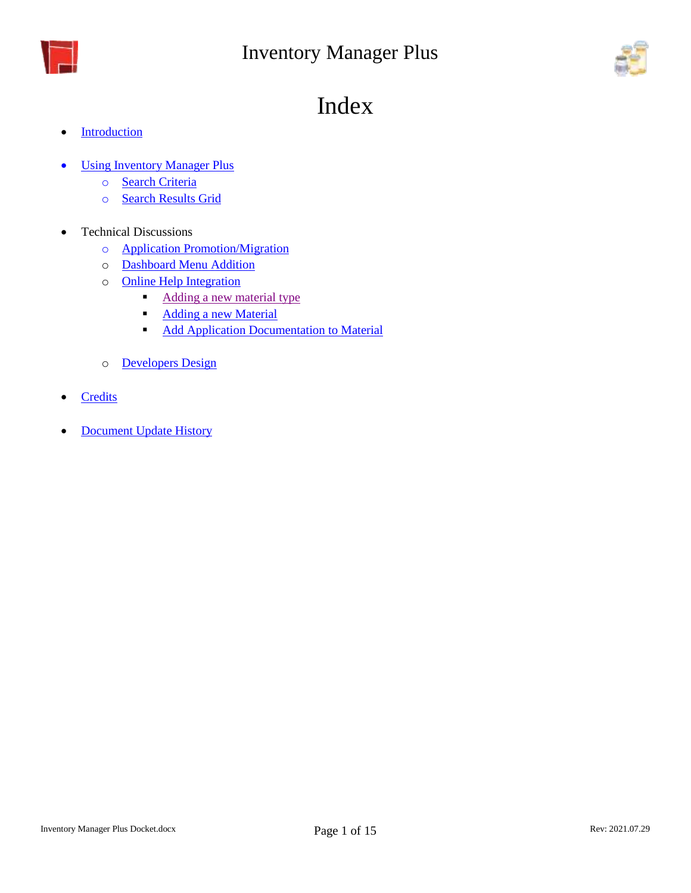



# Index

- [Introduction](#page-1-0)
- [Using Inventory Manager Plus](#page-4-0)
	- o [Search Criteria](#page-4-0)
	- o [Search Results Grid](#page-4-0)

#### • Technical Discussions

- o [Application Promotion/Migration](#page-6-0)
- o [Dashboard Menu Addition](#page-7-0)
- o [Online Help Integration](#page-8-0)
	- [Adding a new material type](#page-10-0)
	- [Adding a new Material](#page-11-0)
	- [Add Application Documentation to Material](#page-12-0)
- o [Developers Design](#page-13-0)
- **[Credits](#page-14-0)**
- [Document Update History](#page-14-1)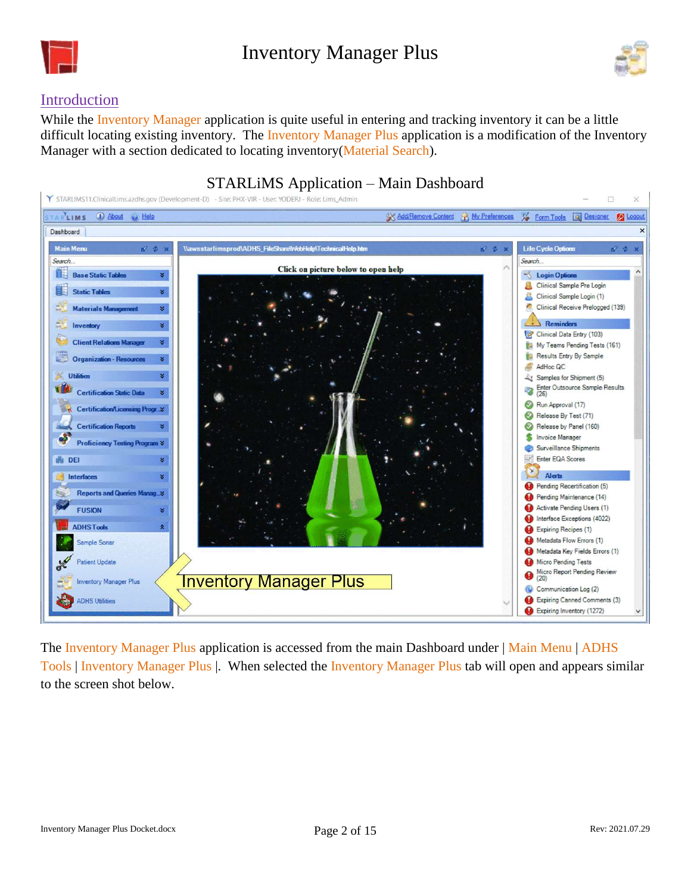



### <span id="page-1-0"></span>Introduction

While the Inventory Manager application is quite useful in entering and tracking inventory it can be a little difficult locating existing inventory. The Inventory Manager Plus application is a modification of the Inventory Manager with a section dedicated to locating inventory(Material Search).



The Inventory Manager Plus application is accessed from the main Dashboard under | Main Menu | ADHS Tools | Inventory Manager Plus |. When selected the Inventory Manager Plus tab will open and appears similar to the screen shot below.

### STARLiMS Application – Main Dashboard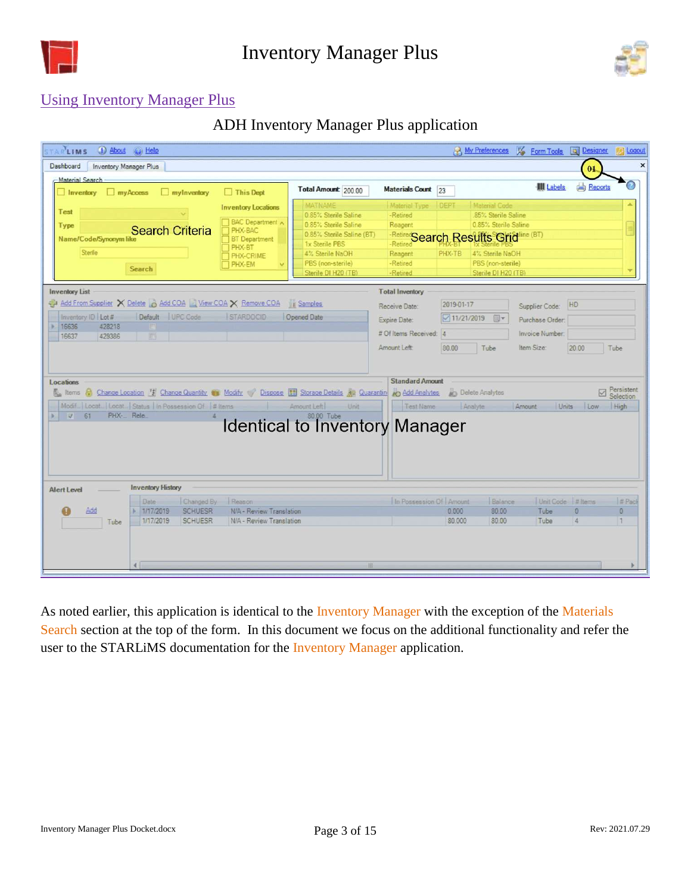



### Using Inventory Manager Plus

## ADH Inventory Manager Plus application

| 1) About @ Help<br><b>STARLIMS</b>                                                                                                             | My Preferences K Form Tools Q Designer M Logout                                                                        |
|------------------------------------------------------------------------------------------------------------------------------------------------|------------------------------------------------------------------------------------------------------------------------|
| Dashboard<br>Inventory Manager Plus                                                                                                            | $\times$<br>01                                                                                                         |
| -Material Search                                                                                                                               |                                                                                                                        |
| Total Amount: 200.00<br>myAccess myInventory<br>This Dept<br>$\Box$ Inventory                                                                  | <b>III</b> Labels<br><b>Reports</b><br>Materials Count 23                                                              |
| <b>MATNAME</b><br><b>Inventory Locations</b><br>Test                                                                                           | Material Type DEPT<br>Material Code<br>۸                                                                               |
| 0.85% Sterile Saline<br>BAC Department<br>0.85% Sterile Saline                                                                                 | 85% Sterile Saline<br>-Retired                                                                                         |
| Type<br><b>Search Criteria</b><br>PHX-BAC<br>0.85% Sterile Saline (BT)                                                                         | Reagent<br>0.85% Sterile Saline                                                                                        |
| Name/Code/Synonym like<br><b>BT</b> Department<br>1x Sterile PBS<br>PHX-BT                                                                     | -Retired Search, Results Scrid <sup>line (BT)</sup>                                                                    |
| Sterile<br>4% Sterile NaOH<br>PHX-CRIME                                                                                                        | 4% Sterile NaOH<br>Reagent<br>PHX-TB                                                                                   |
| PBS (non-sterile)<br>PHX-EM<br>Search<br>Sterile DI H20 (TB)                                                                                   | -Retired<br>PBS (non-sterile)<br>Sterile DI H20 (TB)<br>-Retired                                                       |
|                                                                                                                                                |                                                                                                                        |
| <b>Inventory List</b>                                                                                                                          | <b>Total Inventory</b>                                                                                                 |
| Add From Supplier X Delete & Add COA View COA X Remove COA<br>Samples                                                                          | HD<br>2019-01-17<br>Receive Date:<br>Supplier Code:                                                                    |
| Default UPC Code<br><b>STARDOCID</b><br>Inventory ID Lot #<br>Opened Date                                                                      | 711/21/2019<br>同一<br>Purchase Order:<br>Expire Date:                                                                   |
| 428218<br>16636<br>429386<br>16637                                                                                                             | # Of Items Received: 4<br>Invoice Number:                                                                              |
|                                                                                                                                                | Amount Left:<br>80.00<br>Item Size:<br>20.00<br>Tube<br>Tube                                                           |
|                                                                                                                                                |                                                                                                                        |
|                                                                                                                                                |                                                                                                                        |
| Locations                                                                                                                                      | <b>Standard Amount</b>                                                                                                 |
| Contents (2) Change Location (2) Change Quantity (3) Modify (2) Dispose [31] Storage Details A. Quarantin and Add Analytes (2) Delete Analytes | $\boxdot$ Persistent<br>Selection                                                                                      |
| Modif   Locat   Locat   Status   In Possession Of   # Items   Amount Left   Unit                                                               | Test Name   Analyte   Amount   Units   Low   High                                                                      |
| PHX- Rele<br><b>Identical to Inventory Manager</b><br><b>N</b> V 61                                                                            |                                                                                                                        |
|                                                                                                                                                |                                                                                                                        |
|                                                                                                                                                |                                                                                                                        |
|                                                                                                                                                |                                                                                                                        |
|                                                                                                                                                |                                                                                                                        |
| <b>Inventory History</b>                                                                                                                       |                                                                                                                        |
| Alert Level                                                                                                                                    |                                                                                                                        |
| Date<br>Changed By<br>Reason<br>Add<br>$\blacktriangleright$ 1/17/2019<br><b>SCHUESR</b><br>N/A - Review Translation                           | In Possession Of   Amount<br>Unit Code # Items<br>I # Pack<br>Balance<br>0.000<br>80.00<br>$\theta$<br>$\circ$<br>Tube |
| 1/17/2019<br><b>SCHUESR</b><br>N/A - Review Translation<br>Tube                                                                                | 80,000<br>80.00<br>$\vert 4 \vert$<br>Tube<br>$\mathbb{1}$                                                             |
|                                                                                                                                                |                                                                                                                        |
|                                                                                                                                                |                                                                                                                        |
|                                                                                                                                                |                                                                                                                        |
|                                                                                                                                                | <b>III</b>                                                                                                             |

As noted earlier, this application is identical to the Inventory Manager with the exception of the Materials Search section at the top of the form. In this document we focus on the additional functionality and refer the user to the STARLiMS documentation for the Inventory Manager application.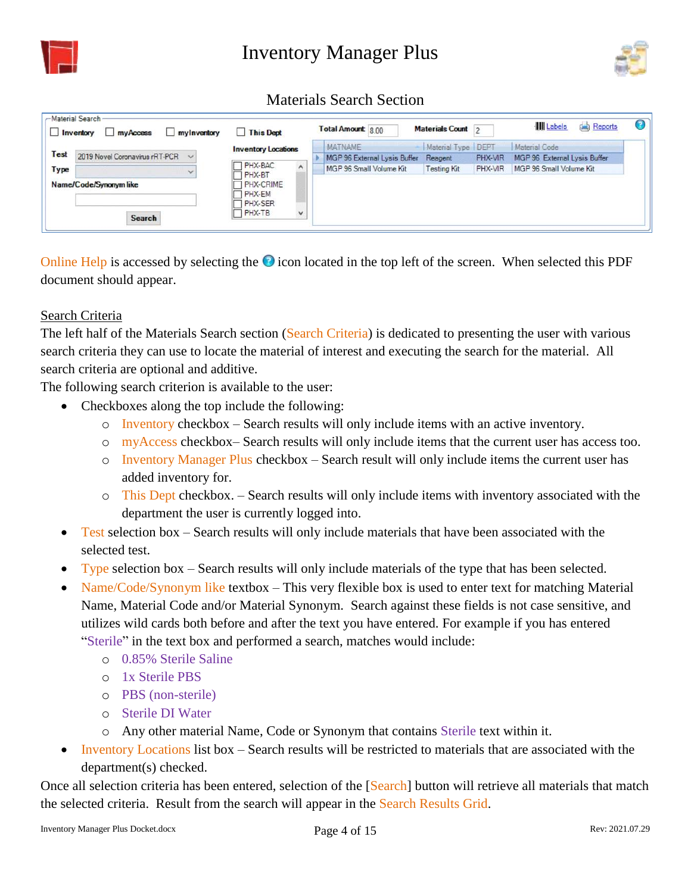



### Materials Search Section

| Material Search<br>myAccess<br>myInventory<br>Inventory | <b>This Dept</b>                                         | Total Amount 800                               | <b>Materials Count</b>        |         | <b>III</b> Labels<br>Reports                  |  |
|---------------------------------------------------------|----------------------------------------------------------|------------------------------------------------|-------------------------------|---------|-----------------------------------------------|--|
| Test<br>2019 Novel Coronavirus rRT-PCR<br>$\checkmark$  | <b>Inventory Locations</b>                               | <b>MATNAME</b><br>MGP 96 External Lysis Buffer | Material Type DEPT<br>Reagent | PHX-VIR | Material Code<br>MGP 96 External Lysis Buffer |  |
| Type<br>$\checkmark$                                    | PHX-BAC<br>$\land$<br>PHX-BT                             | MGP 96 Small Volume Kit                        | <b>Testing Kit</b>            | PHX-VIR | MGP 96 Small Volume Kit                       |  |
| Name/Code/Synonym like<br>Search                        | PHX-CRIME<br>PHX-EM<br>PHX-SER<br>PHX-TB<br>$\checkmark$ |                                                |                               |         |                                               |  |

Online Help is accessed by selecting the  $\bullet$  icon located in the top left of the screen. When selected this PDF document should appear.

#### Search Criteria

The left half of the Materials Search section (Search Criteria) is dedicated to presenting the user with various search criteria they can use to locate the material of interest and executing the search for the material. All search criteria are optional and additive.

The following search criterion is available to the user:

- Checkboxes along the top include the following:
	- o Inventory checkbox Search results will only include items with an active inventory.
	- o myAccess checkbox– Search results will only include items that the current user has access too.
	- $\circ$  Inventory Manager Plus checkbox Search result will only include items the current user has added inventory for.
	- o This Dept checkbox. Search results will only include items with inventory associated with the department the user is currently logged into.
- Test selection box Search results will only include materials that have been associated with the selected test.
- Type selection box Search results will only include materials of the type that has been selected.
- Name/Code/Synonym like textbox This very flexible box is used to enter text for matching Material Name, Material Code and/or Material Synonym. Search against these fields is not case sensitive, and utilizes wild cards both before and after the text you have entered. For example if you has entered "Sterile" in the text box and performed a search, matches would include:
	- o 0.85% Sterile Saline
	- o 1x Sterile PBS
	- o PBS (non-sterile)
	- o Sterile DI Water
	- o Any other material Name, Code or Synonym that contains Sterile text within it.
- Inventory Locations list box Search results will be restricted to materials that are associated with the department(s) checked.

Once all selection criteria has been entered, selection of the [Search] button will retrieve all materials that match the selected criteria. Result from the search will appear in the Search Results Grid.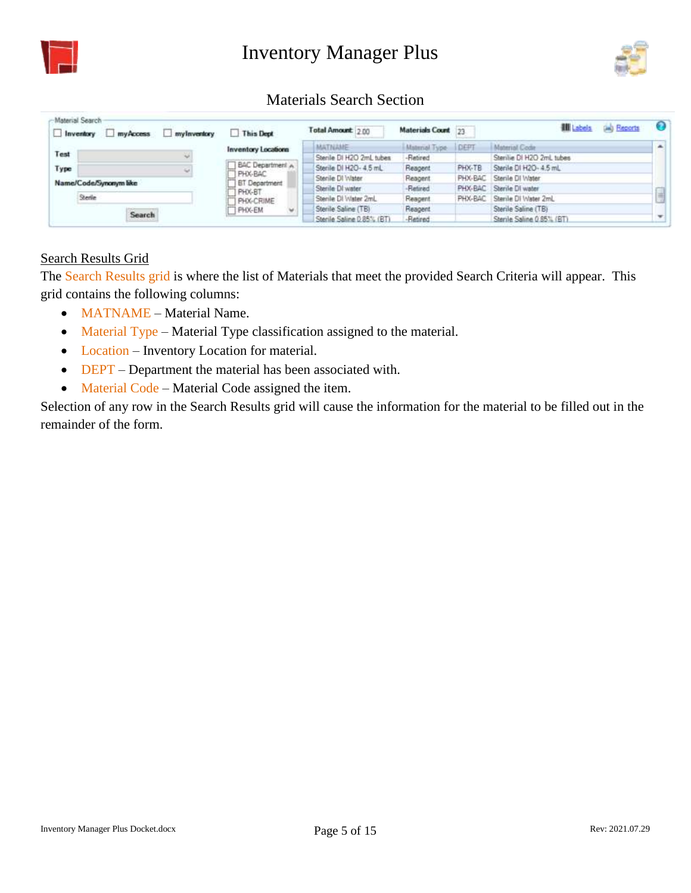



### Materials Search Section

| Inventory | Material Search<br>my Access | mylnventory | This Dept                      | Total Amount 2.00         | Materials Count 31 |         | <b>III</b> Labels<br>(in) Reports | $\bullet$ |
|-----------|------------------------------|-------------|--------------------------------|---------------------------|--------------------|---------|-----------------------------------|-----------|
|           |                              |             | <b>Inventory Locations</b>     | MATNAME                   | Material Type      | IDEPT   | Material Code                     | ×         |
| Test      |                              |             |                                | Sterile DI H2O 2mL tubes  | -Retired           |         | Sterilie DI H2O 2mL tubes         |           |
| Туре      |                              |             | <b>BAC Department A</b>        | Sterile DI H2O- 4.5 mL    | Reagent            | PHX-TB  | Sterile DI H2O- 4.5 mL            |           |
|           |                              |             | PHX-BAC                        | Sterile DI Water          | Reagent            | PHX-BAC | Sterile DI Water                  |           |
|           | Name/Code/Synonym like       |             | <b>BT Department</b><br>PHX-BT | Sterile DI water          | -Retired           | PHX-BAC | Sterile DI water                  |           |
|           | Sterile                      |             | <b>PHX-CRIME</b>               | Sterile DI Water 2mL      | Reagent            | PHX-BAC | Sterile DI Water 2mL              |           |
|           |                              |             | PHX-EM<br>v                    | Sterile Saline (TB)       | Reagent            |         | Sterile Saline (TB)               |           |
|           | <b>Search</b>                |             |                                | Sterile Saline 0.85% (BT) | -Retired           |         | Sterile Saline 0.85% (BT)         | ÷         |

### <span id="page-4-0"></span>Search Results Grid

The Search Results grid is where the list of Materials that meet the provided Search Criteria will appear. This grid contains the following columns:

- MATNAME Material Name.
- Material Type Material Type classification assigned to the material.
- Location Inventory Location for material.
- **DEPT** Department the material has been associated with.
- Material Code Material Code assigned the item.

Selection of any row in the Search Results grid will cause the information for the material to be filled out in the remainder of the form.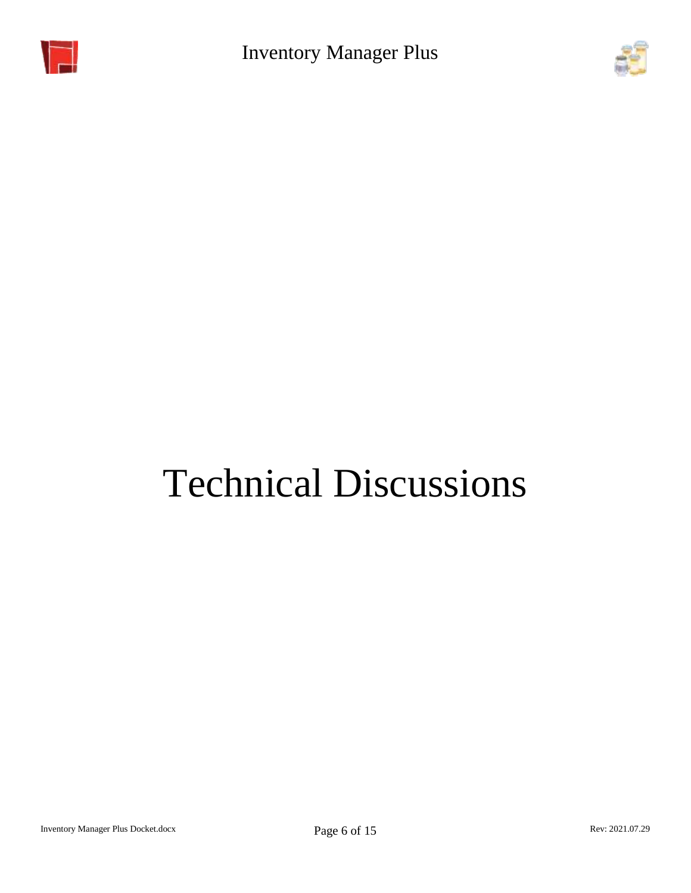



# Technical Discussions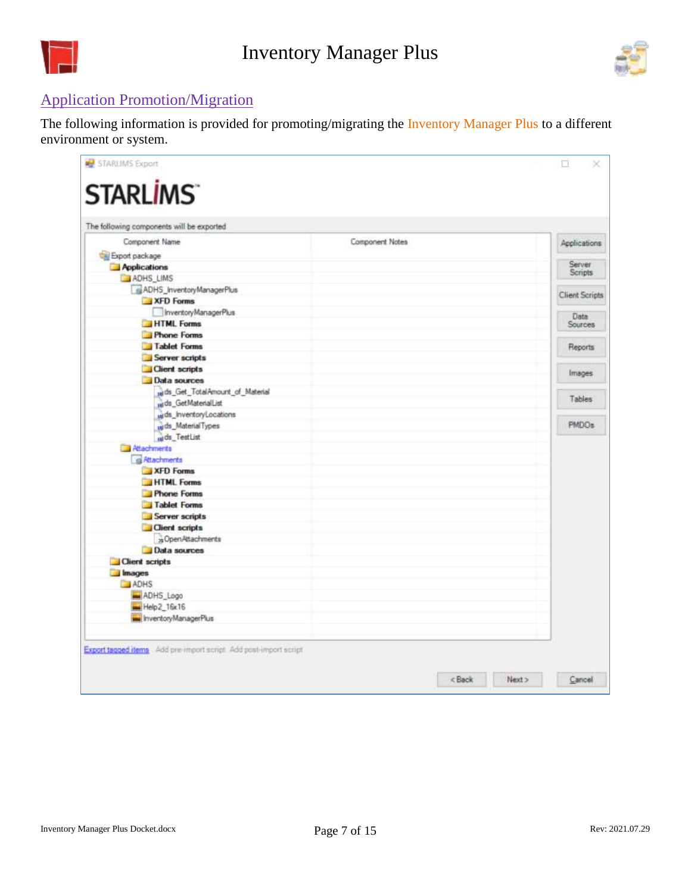



### <span id="page-6-0"></span>Application Promotion/Migration

The following information is provided for promoting/migrating the Inventory Manager Plus to a different environment or system.

| The following components will be exported |                 |                       |
|-------------------------------------------|-----------------|-----------------------|
| Component Name                            | Component Notes | Applications          |
| Export package                            |                 |                       |
| Applications                              |                 | Server<br>Scripts     |
| ADHS LIMS                                 |                 |                       |
| ADHS_InventoryManagerPlus                 |                 | <b>Client Scripts</b> |
| XFD Forms                                 |                 |                       |
| InventoryManagerPlus                      |                 | Data                  |
| <b>HTML Forms</b>                         |                 | Sources               |
| Phone Forms                               |                 |                       |
| Tablet Forms                              |                 | <b>Reports</b>        |
| Server scripts                            |                 |                       |
| Client scripts                            |                 | <i>Images</i>         |
| Data sources                              |                 |                       |
| uds Get_TotalAmount of Material           |                 | Tables                |
| ud ds_GetMaterialList                     |                 |                       |
| uids inventoryLocations                   |                 | <b>PMDOs</b>          |
| uds_MaterialTypes                         |                 |                       |
| uds_TestList<br>Attachments               |                 |                       |
| Attachments                               |                 |                       |
| XFD Forms                                 |                 |                       |
| <b>HTML</b> Forms                         |                 |                       |
| Phone Forms                               |                 |                       |
| Tablet Forms                              |                 |                       |
| Server scripts                            |                 |                       |
| <b>Client scripts</b>                     |                 |                       |
| 35 Open Attachments                       |                 |                       |
| Data sources                              |                 |                       |
| Client scripts                            |                 |                       |
| Images                                    |                 |                       |
| ADHS                                      |                 |                       |
| ADHS_Logo                                 |                 |                       |
| $Heip2_16k16$                             |                 |                       |
| InventoryManagerPlus                      |                 |                       |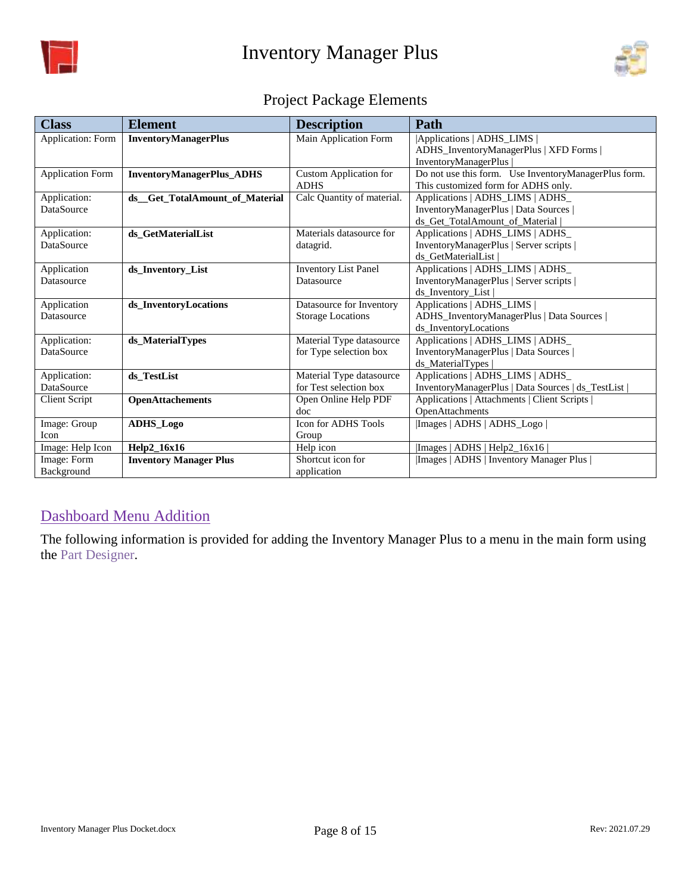



### Project Package Elements

| <b>Class</b>            | <b>Element</b>                   | <b>Description</b>            | Path                                                    |
|-------------------------|----------------------------------|-------------------------------|---------------------------------------------------------|
| Application: Form       | <b>InventoryManagerPlus</b>      | Main Application Form         | Applications   ADHS_LIMS                                |
|                         |                                  |                               | ADHS_InventoryManagerPlus   XFD Forms                   |
|                         |                                  |                               | InventoryManagerPlus                                    |
| <b>Application Form</b> | <b>InventoryManagerPlus_ADHS</b> | <b>Custom Application for</b> | Do not use this form. Use InventoryManagerPlus form.    |
|                         |                                  | <b>ADHS</b>                   | This customized form for ADHS only.                     |
| Application:            | ds_Get_TotalAmount_of_Material   | Calc Quantity of material.    | Applications   ADHS LIMS   ADHS                         |
| DataSource              |                                  |                               | InventoryManagerPlus   Data Sources                     |
|                         |                                  |                               | ds_Get_TotalAmount_of_Material                          |
| Application:            | ds GetMaterialList               | Materials datasource for      | Applications   ADHS_LIMS   ADHS_                        |
| DataSource              |                                  | datagrid.                     | InventoryManagerPlus   Server scripts                   |
|                         |                                  |                               | ds_GetMaterialList                                      |
| Application             | ds_Inventory_List                | <b>Inventory List Panel</b>   | Applications   ADHS_LIMS   ADHS_                        |
| Datasource              |                                  | Datasource                    | InventoryManagerPlus   Server scripts                   |
|                         |                                  |                               | ds_Inventory_List                                       |
| Application             | ds_InventoryLocations            | Datasource for Inventory      | Applications   ADHS_LIMS                                |
| Datasource              |                                  | <b>Storage Locations</b>      | ADHS_InventoryManagerPlus   Data Sources                |
|                         |                                  |                               | ds_InventoryLocations                                   |
| Application:            | ds MaterialTypes                 | Material Type datasource      | Applications   ADHS_LIMS   ADHS_                        |
| DataSource              |                                  | for Type selection box        | InventoryManagerPlus   Data Sources                     |
|                         |                                  |                               | ds_MaterialTypes                                        |
| Application:            | ds_TestList                      | Material Type datasource      | Applications   ADHS_LIMS   ADHS_                        |
| DataSource              |                                  | for Test selection box        | InventoryManagerPlus   Data Sources   ds_TestList       |
| <b>Client Script</b>    | <b>OpenAttachements</b>          | Open Online Help PDF          | Applications   Attachments   Client Scripts             |
|                         |                                  | doc                           | <b>OpenAttachments</b>                                  |
| Image: Group            | <b>ADHS_Logo</b>                 | <b>Icon for ADHS Tools</b>    | Images   ADHS   ADHS_Logo                               |
| Icon                    |                                  | Group                         |                                                         |
| Image: Help Icon        | <b>Help2</b> 16x16               | Help icon                     | $\vert$ Images $\vert$ ADHS $\vert$ Help2_16x16 $\vert$ |
| Image: Form             | <b>Inventory Manager Plus</b>    | Shortcut icon for             | Images   ADHS   Inventory Manager Plus                  |
| Background              |                                  | application                   |                                                         |

### <span id="page-7-0"></span>Dashboard Menu Addition

The following information is provided for adding the Inventory Manager Plus to a menu in the main form using the Part Designer.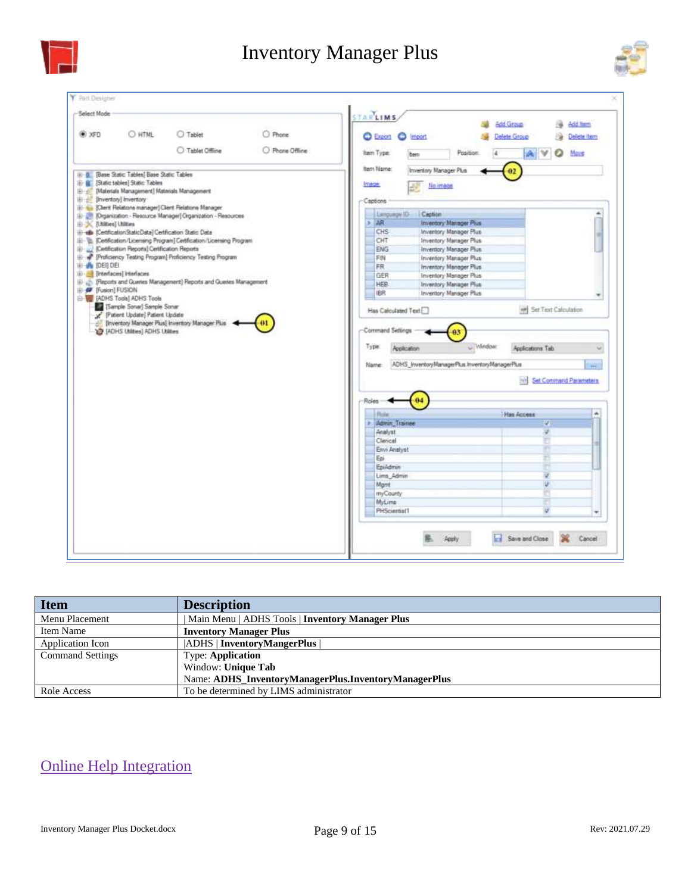



| Select Mode                                                                                                                                                                                                                                                                                                                                                                                                                                                                                                                                                                                                                                                                                                                                                                                                                                                                                                                               |                                                                                                                                                                                                                                                                                                                                                                                                                                                                                                                                                                                                                                                                                                                                                                                                                                                                  |                 |
|-------------------------------------------------------------------------------------------------------------------------------------------------------------------------------------------------------------------------------------------------------------------------------------------------------------------------------------------------------------------------------------------------------------------------------------------------------------------------------------------------------------------------------------------------------------------------------------------------------------------------------------------------------------------------------------------------------------------------------------------------------------------------------------------------------------------------------------------------------------------------------------------------------------------------------------------|------------------------------------------------------------------------------------------------------------------------------------------------------------------------------------------------------------------------------------------------------------------------------------------------------------------------------------------------------------------------------------------------------------------------------------------------------------------------------------------------------------------------------------------------------------------------------------------------------------------------------------------------------------------------------------------------------------------------------------------------------------------------------------------------------------------------------------------------------------------|-----------------|
|                                                                                                                                                                                                                                                                                                                                                                                                                                                                                                                                                                                                                                                                                                                                                                                                                                                                                                                                           |                                                                                                                                                                                                                                                                                                                                                                                                                                                                                                                                                                                                                                                                                                                                                                                                                                                                  |                 |
| <b>O HTML</b><br>C Phone<br>® XFD<br><b>O</b> Tablet                                                                                                                                                                                                                                                                                                                                                                                                                                                                                                                                                                                                                                                                                                                                                                                                                                                                                      | C Export C Import<br><b>Delete Group</b>                                                                                                                                                                                                                                                                                                                                                                                                                                                                                                                                                                                                                                                                                                                                                                                                                         | Defete Hem-     |
| O Phone Offine<br>O Tablet Offine                                                                                                                                                                                                                                                                                                                                                                                                                                                                                                                                                                                                                                                                                                                                                                                                                                                                                                         | Item Type:<br>A V<br>Mant<br>Position:<br>i4<br>o<br>bern                                                                                                                                                                                                                                                                                                                                                                                                                                                                                                                                                                                                                                                                                                                                                                                                        |                 |
| (ii) (Base Static Tables) Base Static Tables<br>E E [Static tables] Static Tables<br>[5] [Materials Management] Materials Management<br>(ii) - [Invertory] Invertory<br>El Clert Relations manager] Client Relations Manager<br>El Chganization - Resource Manager Crganization - Resources<br>iii X [Lhitties] Lhitties<br>ii) alle (CertificationStaticData) Certification Static Data<br>Li- L. (Cettfication/Licensing Program) Certification/Licensing Program<br>[8] [6] Certification Reports] Certification Reports<br>Proficiency Testing Program] Proficiency Testing Program<br><b>H-M DESDEL</b><br>(ii) and Timberfaces Interfaces<br>Fleports and Queries Management) Reports and Queries Management<br>iii # (Fusion) FUSION<br>El-W (ADHS Tools) ADHS Tools<br>[Sample Sonar] Sample Sonar<br>Patient Update] Patient Update<br>Invertory Manager Plus) Invertory Manager Plus<br><b>YO [ADHS Utilizes] ADHS Utilizes</b> | TARLIMS<br><b>Add Group</b><br>Add Item<br>Item Name:<br>Inventory Manager Plus<br>mage.<br>No image<br>48<br>Captions<br>Language ID Caption<br>AR.<br>Inventory Manager Plus<br>D.<br>CHS<br>Inventory Manager Plus<br>CHT<br>Inventory Manager Plus<br><b>ENG</b><br>Inventory Manager Plus<br>FIN<br>Inventory Manager Plus<br>FR.<br>Inventory Manager Plus<br>GER<br>Inventory Manager Plus<br>HEB<br>Imventory Manager Plus<br>IBR<br>Inventory Manager Plus<br>em Set Text Calculation<br>Has Calculated Text<br>Command Settings<br>03<br>Type:<br>U. Vindow<br>Application<br>Applications Tab<br>ADHS InventoryManagerPlus InventoryManagerPlus<br>Name:<br>Nil Set Command Parameters<br>Roles<br>Hole:<br>Has Access<br>> Admin Trainee<br>U.<br>Analyst<br>v<br>Clerical<br>Envi Analyst<br>Esi<br>EpiAdmin<br>Lima Admin<br>ü<br>Mant<br>myCounty | <b>SAF</b><br>۰ |

| <b>Item</b>             | <b>Description</b>                                     |
|-------------------------|--------------------------------------------------------|
| Menu Placement          | Main Menu   ADHS Tools   <b>Inventory Manager Plus</b> |
| Item Name               | <b>Inventory Manager Plus</b>                          |
| Application Icon        | <b>ADHS</b>   InventoryMangerPlus                      |
| <b>Command Settings</b> | <b>Type: Application</b>                               |
|                         | Window: Unique Tab                                     |
|                         | Name: ADHS InventoryManagerPlus.InventoryManagerPlus   |
| Role Access             | To be determined by LIMS administrator                 |

# <span id="page-8-0"></span>Online Help Integration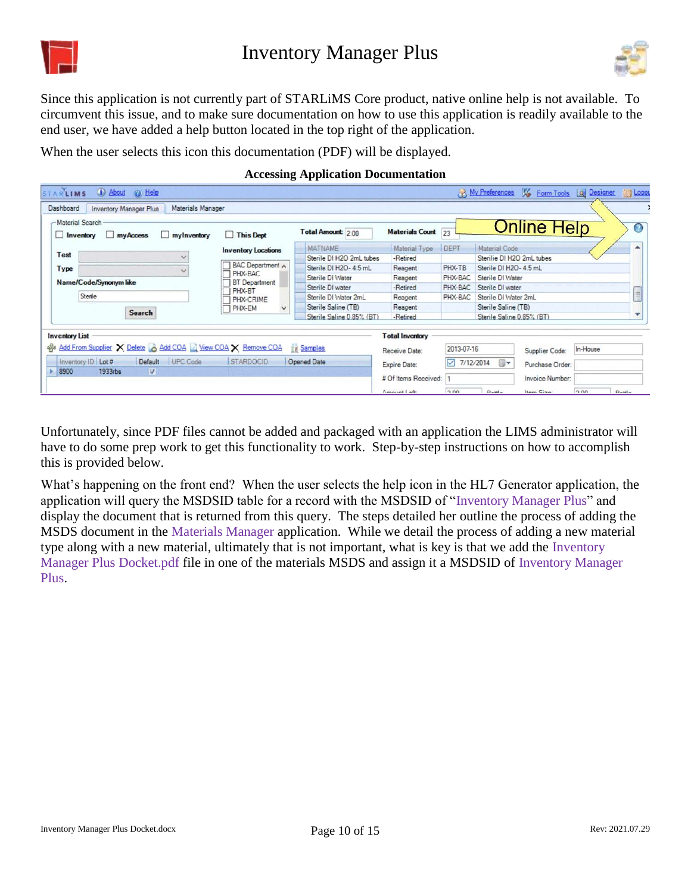



Since this application is not currently part of STARLiMS Core product, native online help is not available. To circumvent this issue, and to make sure documentation on how to use this application is readily available to the end user, we have added a help button located in the top right of the application.

When the user selects this icon this documentation (PDF) will be displayed.

| Dashboard<br>Materials Manager<br><b>Inventory Manager Plus</b>         |                                |                           |                        |            |                           |                    |          |           |
|-------------------------------------------------------------------------|--------------------------------|---------------------------|------------------------|------------|---------------------------|--------------------|----------|-----------|
| Material Search<br>Inventory<br>$\Box$ my Access<br>$\Box$ my Inventory | This Dept                      | Total Amount 2.00         | <b>Materials Count</b> | 23         |                           | <b>Online Help</b> |          | $\bullet$ |
|                                                                         | <b>Inventory Locations</b>     | MATNAME                   | Material Type          | DEPT       | Material Code             |                    |          |           |
| <b>Test</b>                                                             |                                | Sterile DI H2O 2mL tubes  | -Retired               |            | Sterilie DI H2O 2mL tubes |                    |          |           |
| Type                                                                    | BAC Department A               | Sterile DI H2O- 4.5 mL    | Reagent                | PHX-TB     | Sterile DI H2O-4.5 mL     |                    |          |           |
|                                                                         | PHX-BAC                        | Sterile DI Water          | Reagent                | PHX-BAC    | Sterile DI Water          |                    |          |           |
| Name/Code/Synonym like                                                  | <b>BT</b> Department<br>PHX-BT | Sterile DI water          | -Retired               | PHX-BAC    | Sterile DI water          |                    |          |           |
| Stenle                                                                  | PHX-CRIME                      | Sterile DI Water 2mL      | Reagent                | PHX-BAC    | Sterile DI Water 2mL      |                    |          |           |
|                                                                         | <b>PHX-EM</b><br>$\checkmark$  | Sterile Saline (TB)       | Reagent                |            | Sterile Saline (TB)       |                    |          |           |
| Search                                                                  |                                | Sterile Saline 0.85% (BT) | -Retired               |            | Sterile Saline 0.85% (BT) |                    |          |           |
| <b>Inventory List</b>                                                   |                                |                           | <b>Total Inventory</b> |            |                           |                    |          |           |
| Add From Supplier X Delete & Add COA View COA X Remove COA              |                                | <b>Samples</b>            | Receive Date:          | 2013-07-16 |                           | Supplier Code:     | In-House |           |
| Inventory ID Lot #<br>Default<br>UPC Code                               | STARDOCID                      | Opened Date               | Expire Date:           | M          | 7/12/2014<br>圓▼           | Purchase Order:    |          |           |
| 8900<br>1933rbs<br>V.                                                   |                                |                           |                        |            |                           |                    |          |           |
|                                                                         |                                |                           | # Of Items Received:   |            |                           | Invoice Number:    |          |           |
|                                                                         |                                |                           | $A$ maunt $A$          | 200        | $D = ML$                  | Ham Ciza:          | 200      | $D = ML$  |

#### **Accessing Application Documentation**

Unfortunately, since PDF files cannot be added and packaged with an application the LIMS administrator will have to do some prep work to get this functionality to work. Step-by-step instructions on how to accomplish this is provided below.

What's happening on the front end? When the user selects the help icon in the HL7 Generator application, the application will query the MSDSID table for a record with the MSDSID of "Inventory Manager Plus" and display the document that is returned from this query. The steps detailed her outline the process of adding the MSDS document in the Materials Manager application. While we detail the process of adding a new material type along with a new material, ultimately that is not important, what is key is that we add the Inventory Manager Plus Docket.pdf file in one of the materials MSDS and assign it a MSDSID of Inventory Manager Plus.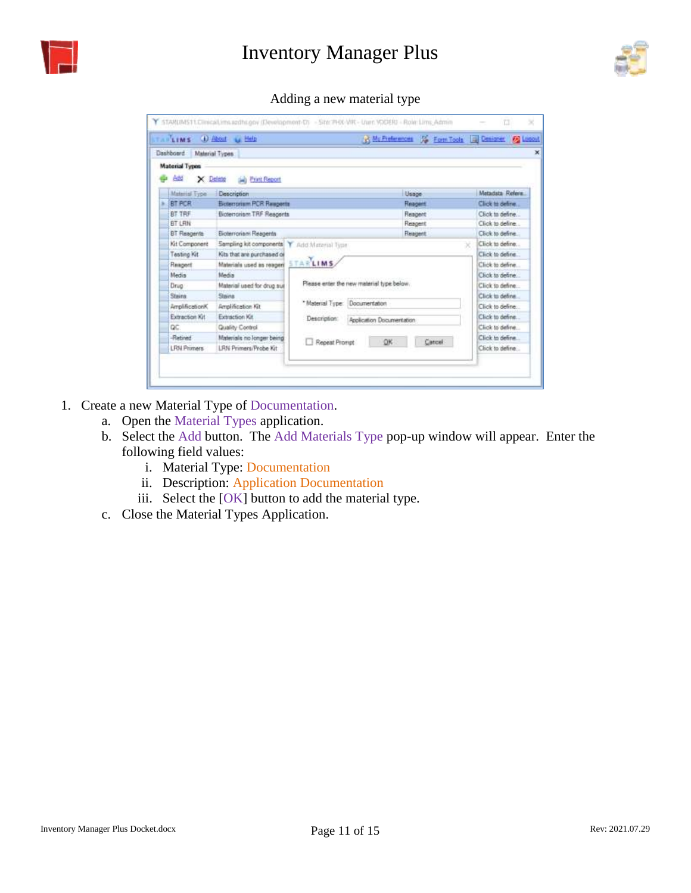<span id="page-10-0"></span>



#### Adding a new material type

| Dashboard             | Material Types                   |                                           |                | A My Fielersmoss % Form Tools [3] Designer (6) Local |
|-----------------------|----------------------------------|-------------------------------------------|----------------|------------------------------------------------------|
| <b>Material Types</b> |                                  |                                           |                |                                                      |
| Add.                  | X Deinte<br><b>Frint Report</b>  |                                           |                |                                                      |
| <b>Material Type</b>  | Description                      |                                           | Usage          | Metadata Refere.                                     |
| <b>BT PCR</b>         | <b>Bioterrorism PCR Resperts</b> |                                           | Reagent        | Click to define.                                     |
| BT TRF                | <b>Bioterrorism TRF Responts</b> |                                           | Reagent        | Click to define                                      |
| <b>BT LRN</b>         |                                  |                                           | Reagent        | Click to define                                      |
| BT Respents           | <b>Bioterroriam Reagents</b>     |                                           | <b>Reagent</b> | Click to define                                      |
| Kit Component         | Sampling kit components          | Y Add Material Type                       | ×              | Click to define.                                     |
| <b>Testing Kit</b>    | Kits that are purchased or       |                                           |                | Click to define                                      |
| Respert               | Materials used as reagent        | <b>STARLIMS</b>                           |                | Click to define                                      |
| Media                 | Media                            |                                           |                | Click to define                                      |
| Drug                  | Material used for drug suit      | Please enter the new material type below. |                | Click to define                                      |
| Stains                | Steine                           |                                           |                | Click to define                                      |
| AmplificationK        | Amplification Kit                | * Material Type: Documentation            |                | Click to define                                      |
| Extraction Kit        | Extraction Kit                   | Description:<br>Application Documentation |                | Click to define                                      |
| QC.                   | Quality Control                  |                                           |                | Click to define                                      |
| -Retired              | Materials no longer being        | <b>OK</b><br>Repeat Prompt                | Cancel         | Click to define                                      |
| LRN Primers           | LRN Primers/Probe Kit            |                                           |                | Click to define                                      |

- 1. Create a new Material Type of Documentation.
	- a. Open the Material Types application.
	- b. Select the Add button. The Add Materials Type pop-up window will appear. Enter the following field values:
		- i. Material Type: Documentation
		- ii. Description: Application Documentation
		- iii. Select the [OK] button to add the material type.
	- c. Close the Material Types Application.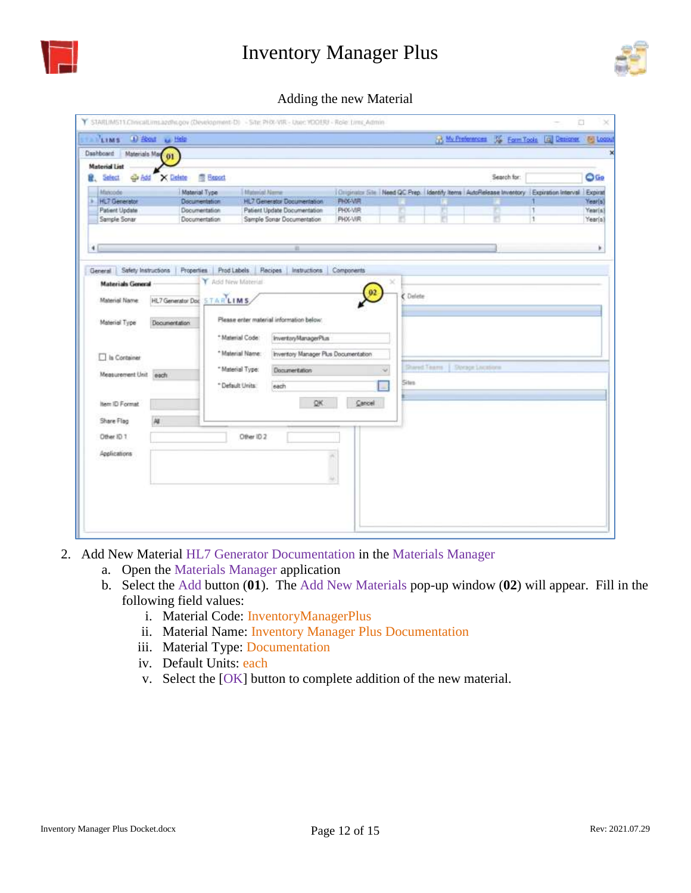



#### Adding the new Material

<span id="page-11-0"></span>

|                                      | <b>O Hour</b><br><b>Co Help</b> |                                      |                                                                                                          |                 |                  | <b>R. My Preferences</b> |                                                                                                           | 56 Form Tools [6] Designer 80 Logist |                    |
|--------------------------------------|---------------------------------|--------------------------------------|----------------------------------------------------------------------------------------------------------|-----------------|------------------|--------------------------|-----------------------------------------------------------------------------------------------------------|--------------------------------------|--------------------|
| Materials Mag<br>Dashboard           | 01                              |                                      |                                                                                                          |                 |                  |                          |                                                                                                           |                                      |                    |
| <b>Material List</b><br>Select<br>Ħ. | @ Add X Delate                  | <b>Bepart</b>                        |                                                                                                          |                 |                  |                          | Search for:                                                                                               |                                      | $O$ Go             |
| Mancode                              | Material Type                   | <b>Material Name</b>                 |                                                                                                          |                 |                  |                          | Christmator Site   Need QC Prep.   Identify Items   AutoRelease Inventory   Expiration Interval   Expirat |                                      |                    |
| <b>HL7 Generator</b><br>٠            | <b>Documentation</b>            |                                      | HL7 Generator Documentation                                                                              | 再次收用<br>PHX-VIR |                  |                          |                                                                                                           |                                      | Year(s)            |
| Patient Update<br>Sample Sonar       | Documentation<br>Documentation  |                                      | Patient Update Documentation<br>Sample Sonar Documentation                                               | PHX-V/R         |                  |                          |                                                                                                           | 1                                    | Year(s)<br>Year(a) |
|                                      |                                 |                                      |                                                                                                          |                 |                  |                          |                                                                                                           |                                      |                    |
| $\left  \cdot \right $               |                                 |                                      |                                                                                                          |                 |                  |                          |                                                                                                           |                                      |                    |
| General Safety Instructions          |                                 | Properties Prod Labels               | Recipes Instructions Components                                                                          |                 |                  |                          |                                                                                                           |                                      |                    |
| Material Type                        | <b>Documentation</b>            | * Material Code:<br>* Material Name: | Please enter material information below:<br>InvertoryManagerPlus<br>Invertory Manager Plus Documentation |                 |                  |                          |                                                                                                           |                                      |                    |
| In Container                         |                                 |                                      |                                                                                                          |                 |                  | Shared Teams             | Stream Locations                                                                                          |                                      |                    |
| Measurement Unit jeach               |                                 | * Material Type:<br>* Default Units: | Documentation<br>each                                                                                    |                 | $\sim$<br>Sites. |                          |                                                                                                           |                                      |                    |
| Item ID Format                       |                                 |                                      | OK                                                                                                       | Cancel          |                  |                          |                                                                                                           |                                      |                    |
| Share Flag                           |                                 |                                      |                                                                                                          |                 |                  |                          |                                                                                                           |                                      |                    |
| Other ID 1                           |                                 | Other ID 2                           |                                                                                                          |                 |                  |                          |                                                                                                           |                                      |                    |

- 2. Add New Material HL7 Generator Documentation in the Materials Manager
	- a. Open the Materials Manager application
	- b. Select the Add button (**01**). The Add New Materials pop-up window (**02**) will appear. Fill in the following field values:
		- i. Material Code: InventoryManagerPlus
		- ii. Material Name: Inventory Manager Plus Documentation
		- iii. Material Type: Documentation
		- iv. Default Units: each
		- v. Select the [OK] button to complete addition of the new material.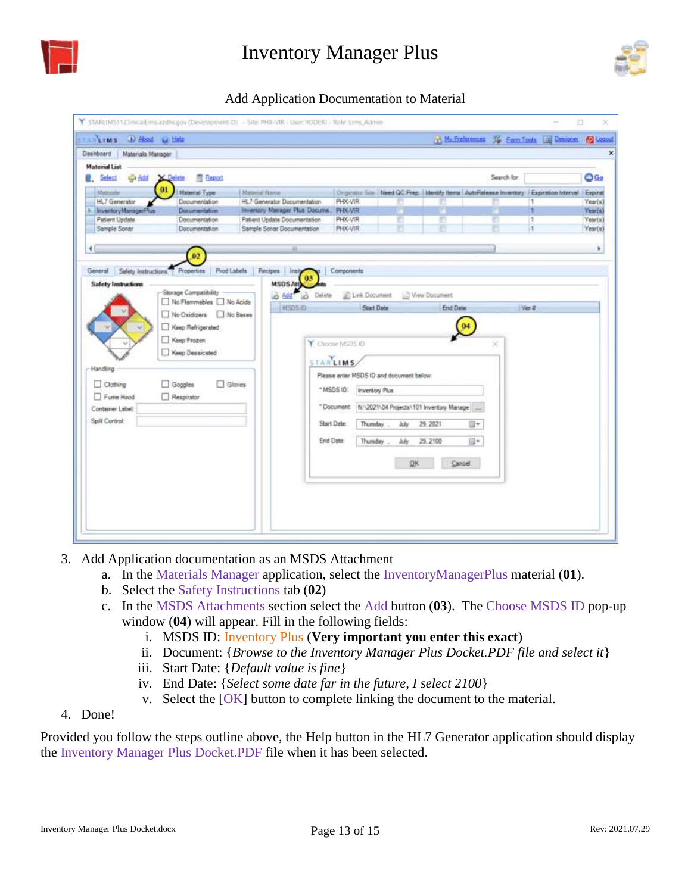



#### Add Application Documentation to Material

<span id="page-12-0"></span>

| Dashboard<br>Materials Manager<br><b>Material List</b><br>Search for:<br>受益<br>>C Delate<br><b>图 Report</b><br>Select<br>₽.<br>01<br>Matcode<br>Material Type<br>Material Neme<br>Chiginator Site   Need QC Prep   Identify Nems   AutoRelease Inventory   Expiration Interval   Expirat<br>HL7 Generator<br>Documentation<br>HL7 Generator Documentation<br>PHX-VIR<br>۰<br>Imventory Manager Plus Docume: PHX-VIR<br>InventoryManagerPlus<br>Documentation:<br>Patient Update<br>Patient Update Documentation<br>PHX-VIR<br>Documentation<br>п<br>Sample Sonar<br>Sample Sonar Documentation<br>PHX-VIR<br>11<br><b>Documentation</b><br>KE.<br>HE.<br>02<br>Salety Instructions   Properties   Prod Labels<br>Recipes<br>Components<br>General<br>Insto<br>03<br><b>MSDS AID</b><br>Safety Instructions<br>-Storage Compatibility<br><b>Dirk Document</b><br><b>J</b> View Document<br>Delete<br>்ம்<br>No Flammables No Acids<br><b>MSOS ID</b><br>Start Date<br>End Date<br>Ver #<br>No Oxidizers No Bases<br>Keep Refrigerated<br>Keep Frozen<br>Y Choose MSDS ID<br>x<br>Keep Dessicated<br><b>STARLIMS</b><br>-Handling<br>Please enter MSDS ID and document below.<br>Clothing<br>Goggles<br><b>C</b> Gloves<br>* MSDS ID:<br>Inventory Plus<br>Fume Hood<br>Respirator<br>* Document.<br>N:\2021\04 Projects\101 Invertory Manage<br>Container Label:<br>Spill Control:<br>Start Date:<br>lli≁<br>29.2021<br>Thursday<br>July<br>@∗<br>End Date:<br>29.2100<br>Thursday.<br>Аbr<br>QK<br>Cancel: | D About w Help<br><b>STARKINS</b> |  |  | A. Mu Preferences | XX Form Tools [5] Designer | <b>B</b> locod |
|------------------------------------------------------------------------------------------------------------------------------------------------------------------------------------------------------------------------------------------------------------------------------------------------------------------------------------------------------------------------------------------------------------------------------------------------------------------------------------------------------------------------------------------------------------------------------------------------------------------------------------------------------------------------------------------------------------------------------------------------------------------------------------------------------------------------------------------------------------------------------------------------------------------------------------------------------------------------------------------------------------------------------------------------------------------------------------------------------------------------------------------------------------------------------------------------------------------------------------------------------------------------------------------------------------------------------------------------------------------------------------------------------------------------------------------------------------------------------------------------------------|-----------------------------------|--|--|-------------------|----------------------------|----------------|
|                                                                                                                                                                                                                                                                                                                                                                                                                                                                                                                                                                                                                                                                                                                                                                                                                                                                                                                                                                                                                                                                                                                                                                                                                                                                                                                                                                                                                                                                                                            |                                   |  |  |                   |                            |                |
|                                                                                                                                                                                                                                                                                                                                                                                                                                                                                                                                                                                                                                                                                                                                                                                                                                                                                                                                                                                                                                                                                                                                                                                                                                                                                                                                                                                                                                                                                                            |                                   |  |  |                   |                            | $O$ Ge         |
|                                                                                                                                                                                                                                                                                                                                                                                                                                                                                                                                                                                                                                                                                                                                                                                                                                                                                                                                                                                                                                                                                                                                                                                                                                                                                                                                                                                                                                                                                                            |                                   |  |  |                   |                            |                |
|                                                                                                                                                                                                                                                                                                                                                                                                                                                                                                                                                                                                                                                                                                                                                                                                                                                                                                                                                                                                                                                                                                                                                                                                                                                                                                                                                                                                                                                                                                            |                                   |  |  |                   |                            | Year(s)        |
|                                                                                                                                                                                                                                                                                                                                                                                                                                                                                                                                                                                                                                                                                                                                                                                                                                                                                                                                                                                                                                                                                                                                                                                                                                                                                                                                                                                                                                                                                                            |                                   |  |  |                   |                            | Year(s)        |
|                                                                                                                                                                                                                                                                                                                                                                                                                                                                                                                                                                                                                                                                                                                                                                                                                                                                                                                                                                                                                                                                                                                                                                                                                                                                                                                                                                                                                                                                                                            |                                   |  |  |                   |                            | Year(s)        |
|                                                                                                                                                                                                                                                                                                                                                                                                                                                                                                                                                                                                                                                                                                                                                                                                                                                                                                                                                                                                                                                                                                                                                                                                                                                                                                                                                                                                                                                                                                            |                                   |  |  |                   |                            | Year(s)        |
|                                                                                                                                                                                                                                                                                                                                                                                                                                                                                                                                                                                                                                                                                                                                                                                                                                                                                                                                                                                                                                                                                                                                                                                                                                                                                                                                                                                                                                                                                                            |                                   |  |  |                   |                            |                |
|                                                                                                                                                                                                                                                                                                                                                                                                                                                                                                                                                                                                                                                                                                                                                                                                                                                                                                                                                                                                                                                                                                                                                                                                                                                                                                                                                                                                                                                                                                            |                                   |  |  |                   |                            |                |
|                                                                                                                                                                                                                                                                                                                                                                                                                                                                                                                                                                                                                                                                                                                                                                                                                                                                                                                                                                                                                                                                                                                                                                                                                                                                                                                                                                                                                                                                                                            |                                   |  |  |                   |                            |                |
|                                                                                                                                                                                                                                                                                                                                                                                                                                                                                                                                                                                                                                                                                                                                                                                                                                                                                                                                                                                                                                                                                                                                                                                                                                                                                                                                                                                                                                                                                                            |                                   |  |  |                   |                            |                |
|                                                                                                                                                                                                                                                                                                                                                                                                                                                                                                                                                                                                                                                                                                                                                                                                                                                                                                                                                                                                                                                                                                                                                                                                                                                                                                                                                                                                                                                                                                            |                                   |  |  |                   |                            |                |
|                                                                                                                                                                                                                                                                                                                                                                                                                                                                                                                                                                                                                                                                                                                                                                                                                                                                                                                                                                                                                                                                                                                                                                                                                                                                                                                                                                                                                                                                                                            |                                   |  |  |                   |                            |                |
|                                                                                                                                                                                                                                                                                                                                                                                                                                                                                                                                                                                                                                                                                                                                                                                                                                                                                                                                                                                                                                                                                                                                                                                                                                                                                                                                                                                                                                                                                                            |                                   |  |  |                   |                            |                |
|                                                                                                                                                                                                                                                                                                                                                                                                                                                                                                                                                                                                                                                                                                                                                                                                                                                                                                                                                                                                                                                                                                                                                                                                                                                                                                                                                                                                                                                                                                            |                                   |  |  |                   |                            |                |
|                                                                                                                                                                                                                                                                                                                                                                                                                                                                                                                                                                                                                                                                                                                                                                                                                                                                                                                                                                                                                                                                                                                                                                                                                                                                                                                                                                                                                                                                                                            |                                   |  |  |                   |                            |                |
|                                                                                                                                                                                                                                                                                                                                                                                                                                                                                                                                                                                                                                                                                                                                                                                                                                                                                                                                                                                                                                                                                                                                                                                                                                                                                                                                                                                                                                                                                                            |                                   |  |  |                   |                            |                |
|                                                                                                                                                                                                                                                                                                                                                                                                                                                                                                                                                                                                                                                                                                                                                                                                                                                                                                                                                                                                                                                                                                                                                                                                                                                                                                                                                                                                                                                                                                            |                                   |  |  |                   |                            |                |
|                                                                                                                                                                                                                                                                                                                                                                                                                                                                                                                                                                                                                                                                                                                                                                                                                                                                                                                                                                                                                                                                                                                                                                                                                                                                                                                                                                                                                                                                                                            |                                   |  |  |                   |                            |                |
|                                                                                                                                                                                                                                                                                                                                                                                                                                                                                                                                                                                                                                                                                                                                                                                                                                                                                                                                                                                                                                                                                                                                                                                                                                                                                                                                                                                                                                                                                                            |                                   |  |  |                   |                            |                |
|                                                                                                                                                                                                                                                                                                                                                                                                                                                                                                                                                                                                                                                                                                                                                                                                                                                                                                                                                                                                                                                                                                                                                                                                                                                                                                                                                                                                                                                                                                            |                                   |  |  |                   |                            |                |
|                                                                                                                                                                                                                                                                                                                                                                                                                                                                                                                                                                                                                                                                                                                                                                                                                                                                                                                                                                                                                                                                                                                                                                                                                                                                                                                                                                                                                                                                                                            |                                   |  |  |                   |                            |                |
|                                                                                                                                                                                                                                                                                                                                                                                                                                                                                                                                                                                                                                                                                                                                                                                                                                                                                                                                                                                                                                                                                                                                                                                                                                                                                                                                                                                                                                                                                                            |                                   |  |  |                   |                            |                |
|                                                                                                                                                                                                                                                                                                                                                                                                                                                                                                                                                                                                                                                                                                                                                                                                                                                                                                                                                                                                                                                                                                                                                                                                                                                                                                                                                                                                                                                                                                            |                                   |  |  |                   |                            |                |
|                                                                                                                                                                                                                                                                                                                                                                                                                                                                                                                                                                                                                                                                                                                                                                                                                                                                                                                                                                                                                                                                                                                                                                                                                                                                                                                                                                                                                                                                                                            |                                   |  |  |                   |                            |                |
|                                                                                                                                                                                                                                                                                                                                                                                                                                                                                                                                                                                                                                                                                                                                                                                                                                                                                                                                                                                                                                                                                                                                                                                                                                                                                                                                                                                                                                                                                                            |                                   |  |  |                   |                            |                |
|                                                                                                                                                                                                                                                                                                                                                                                                                                                                                                                                                                                                                                                                                                                                                                                                                                                                                                                                                                                                                                                                                                                                                                                                                                                                                                                                                                                                                                                                                                            |                                   |  |  |                   |                            |                |
|                                                                                                                                                                                                                                                                                                                                                                                                                                                                                                                                                                                                                                                                                                                                                                                                                                                                                                                                                                                                                                                                                                                                                                                                                                                                                                                                                                                                                                                                                                            |                                   |  |  |                   |                            |                |
|                                                                                                                                                                                                                                                                                                                                                                                                                                                                                                                                                                                                                                                                                                                                                                                                                                                                                                                                                                                                                                                                                                                                                                                                                                                                                                                                                                                                                                                                                                            |                                   |  |  |                   |                            |                |
|                                                                                                                                                                                                                                                                                                                                                                                                                                                                                                                                                                                                                                                                                                                                                                                                                                                                                                                                                                                                                                                                                                                                                                                                                                                                                                                                                                                                                                                                                                            |                                   |  |  |                   |                            |                |

- 3. Add Application documentation as an MSDS Attachment
	- a. In the Materials Manager application, select the InventoryManagerPlus material (**01**).
	- b. Select the Safety Instructions tab (**02**)
	- c. In the MSDS Attachments section select the Add button (**03**). The Choose MSDS ID pop-up window (**04**) will appear. Fill in the following fields:
		- i. MSDS ID: Inventory Plus (**Very important you enter this exact**)
		- ii. Document: {*Browse to the Inventory Manager Plus Docket.PDF file and select it*}
		- iii. Start Date: {*Default value is fine*}
		- iv. End Date: {*Select some date far in the future, I select 2100*}
		- v. Select the [OK] button to complete linking the document to the material.
- 4. Done!

Provided you follow the steps outline above, the Help button in the HL7 Generator application should display the Inventory Manager Plus Docket.PDF file when it has been selected.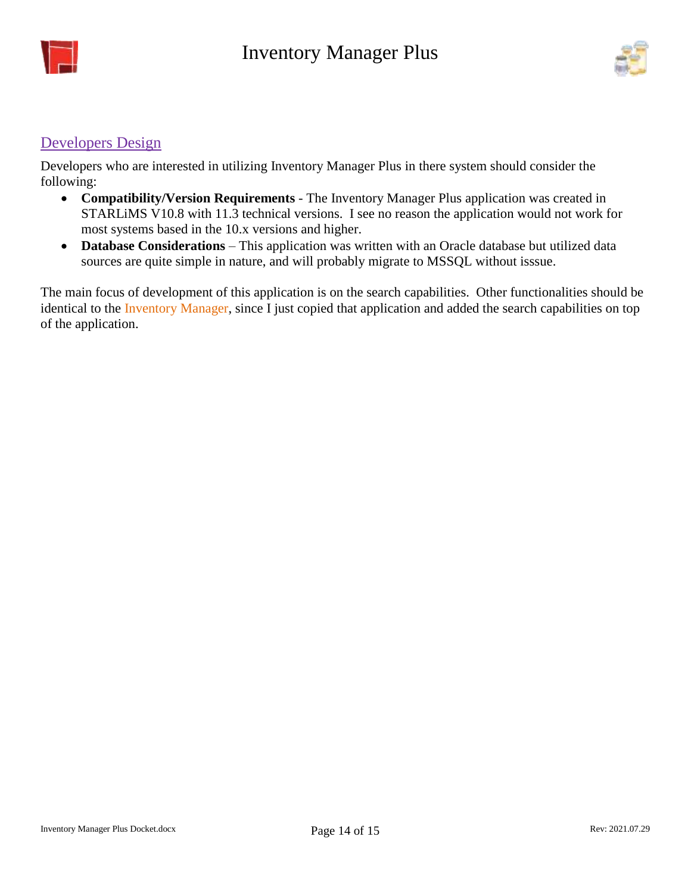



### <span id="page-13-0"></span>Developers Design

Developers who are interested in utilizing Inventory Manager Plus in there system should consider the following:

- **Compatibility/Version Requirements** The Inventory Manager Plus application was created in STARLiMS V10.8 with 11.3 technical versions. I see no reason the application would not work for most systems based in the 10.x versions and higher.
- **Database Considerations** This application was written with an Oracle database but utilized data sources are quite simple in nature, and will probably migrate to MSSQL without isssue.

The main focus of development of this application is on the search capabilities. Other functionalities should be identical to the Inventory Manager, since I just copied that application and added the search capabilities on top of the application.